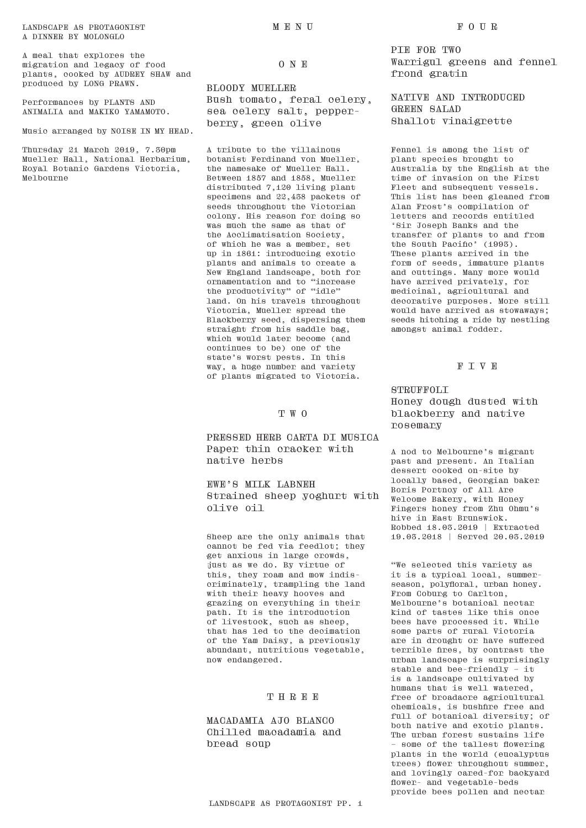LANDSCAPE AS PROTAGONIST A DINNER BY MOLONGLO

A meal that explores the migration and legacy of food plants, cooked by AUDREY SHAW and produced by LONG PRAWN.

Performances by PLANTS AND ANIMALIA and MAKIKO YAMAMOTO.

Music arranged by NOISE IN MY HEAD.

Thursday 21 March 2019, 7.30pm Mueller Hall, National Herbarium, Royal Botanic Gardens Victoria, Melbourne

ONE

MENU

#### BLOODY MUELLER

Bush tomato, feral celery, sea celery salt, pepperberry, green olive

A tribute to the villainous botanist Ferdinand von Mueller, the namesake of Mueller Hall. Between 1857 and 1858, Mueller distributed 7,120 living plant specimens and 22,438 packets of seeds throughout the Victorian colony. His reason for doing so was much the same as that of the Acclimatisation Society, of which he was a member, set up in 1861: introducing exotic plants and animals to create a New England landscape, both for ornamentation and to "increase the productivity" of "idle" land. On his travels throughout Victoria, Mueller spread the Blackberry seed, dispersing them straight from his saddle bag, which would later become (and continues to be) one of the state's worst pests. In this way, a huge number and variety of plants migrated to Victoria.

#### TWO

PRESSED HERB CARTA DI MUSICA Paper thin cracker with native herbs

EWE'S MILK LABNEH Strained sheep yoghurt with olive oil

Sheep are the only animals that cannot be fed via feedlot; they get anxious in large crowds, just as we do. By virtue of this, they roam and mow indiscriminately, trampling the land with their heavy hooves and grazing on everything in their path. It is the introduction of livestock, such as sheep, that has led to the decimation of the Yam Daisy, a previously abundant, nutritious vegetable, now endangered.

# THREE

MACADAMIA AJO BLANCO Chilled macadamia and bread soup

PIE FOR TWO Warrigul greens and fennel frond gratin

NATIVE AND INTRODUCED GREEN SALAD Shallot vinaigrette

Fennel is among the list of plant species brought to Australia by the English at the time of invasion on the First Fleet and subsequent vessels. This list has been gleaned from Alan Frost's compilation of letters and records entitled 'Sir Joseph Banks and the transfer of plants to and from the South Pacific' (1993). These plants arrived in the form of seeds, immature plants and cuttings. Many more would have arrived privately, for medicinal, agricultural and decorative purposes. More still would have arrived as stowaways; seeds hitching a ride by nestling amongst animal fodder.

#### FIVE

**STRUFFOLI** Honey dough dusted with blackberry and native rosemary

A nod to Melbourne's migrant past and present. An Italian dessert cooked on-site by locally based, Georgian baker Boris Portnoy of All Are Welcome Bakery, with Honey Fingers honey from Zhu Ohmu's hive in East Brunswick. Robbed 18.03.2019 | Extracted 19.03.2018 | Served 20.03.2019

"We selected this variety as it is a typical local, summerseason, polyfloral, urban honey. From Coburg to Carlton, Melbourne's botanical nectar kind of tastes like this once bees have processed it. While some parts of rural Victoria are in drought or have suffered terrible fires, by contrast the urban landscape is surprisingly stable and bee-friendly – it is a landscape cultivated by humans that is well watered, free of broadacre agricultural chemicals, is bushfire free and full of botanical diversity; of both native and exotic plants. The urban forest sustains life – some of the tallest flowering plants in the world (eucalyptus trees) flower throughout summer, and lovingly cared-for backyard flower- and vegetable-beds provide bees pollen and nectar